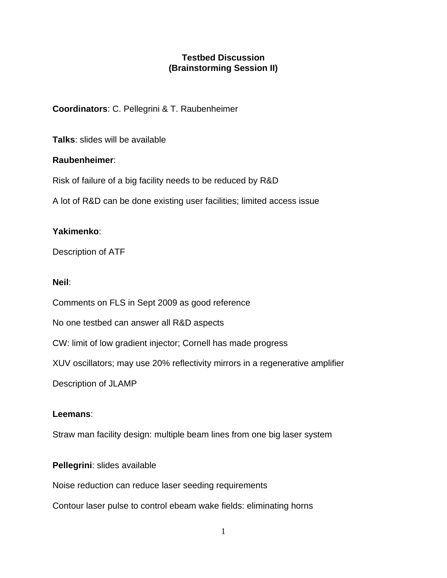# **Testbed Discussion (Brainstorming Session II)**

**Coordinators**: C. Pellegrini & T. Raubenheimer

**Talks**: slides will be available

# **Raubenheimer**:

Risk of failure of a big facility needs to be reduced by R&D

A lot of R&D can be done existing user facilities; limited access issue

# **Yakimenko**:

Description of ATF

### **Neil**:

Comments on FLS in Sept 2009 as good reference

No one testbed can answer all R&D aspects

CW: limit of low gradient injector; Cornell has made progress

XUV oscillators; may use 20% reflectivity mirrors in a regenerative amplifier

Description of JLAMP

### **Leemans**:

Straw man facility design: multiple beam lines from one big laser system

### **Pellegrini**: slides available

Noise reduction can reduce laser seeding requirements

Contour laser pulse to control ebeam wake fields: eliminating horns